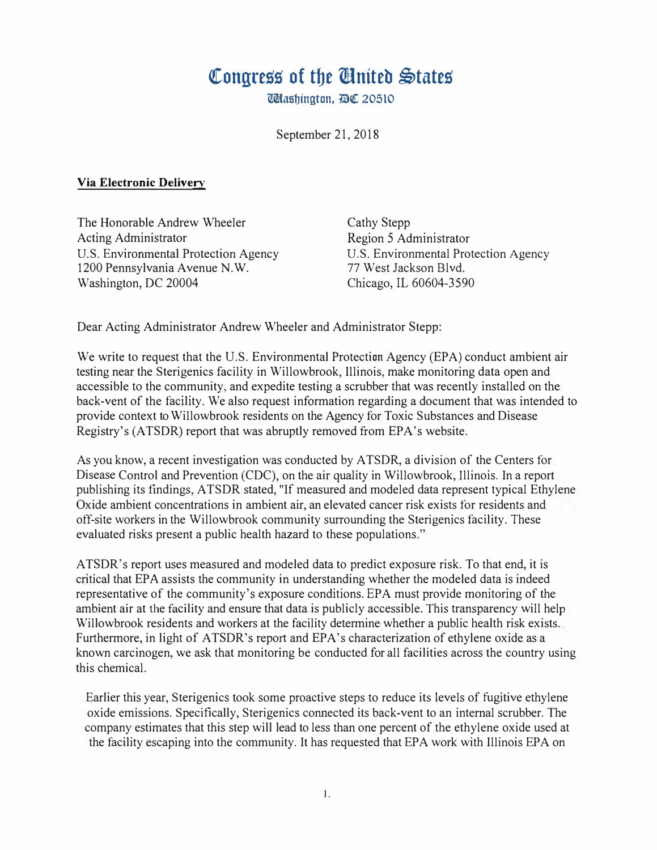## Congress of the **Anited** States

Udashington, DC 20510

September 21, 2018

## **Via Electronic Delivery**

The Honorable Andrew Wheeler Acting Administrator U.S. Environmental Protection Agency 1200 Pennsylvania Avenue N.W. Washington, DC 20004

Cathy Stepp Region 5 Administrator U.S. Environmental Protection Agency 77 West Jackson Blvd. Chicago, IL 60604-3590

Dear Acting Administrator Andrew Wheeler and Administrator Stepp:

We write to request that the U.S. Environmental Protection Agency (EPA) conduct ambient air testing near the Sterigenics facility in Willowbrook, Illinois, make monitoring data open and accessible to the community, and expedite testing a scrubber that was recently installed on the back-vent of the facility. We also request information regarding a document that was intended to provide context to Willowbrook residents on the Agency for Toxic Substances and Disease Registry's (ATSDR) report that was abruptly removed from EPA's website.

As you know, a recent investigation was conducted by ATSDR, a division of the Centers for Disease Control and Prevention (CDC), on the air quality in Willowbrook, Illinois. In a report publishing its findings, ATSDR stated, "If measured and modeled data represent typical Ethylene Oxide ambient concentrations in ambient air, an elevated cancer risk exists for residents and off-site workers in the Willowbrook community surrounding the Sterigenics facility. These evaluated risks present a public health hazard to these populations."

ATSDR's report uses measured and modeled data to predict exposure risk. To that end, it is critical that EPA assists the community in understanding whether the modeled data is indeed representative of the community's exposure conditions. EPA must provide monitoring of the ambient air at the facility and ensure that data is publicly accessible. This transparency will help Willowbrook residents and workers at the facility determine whether a public health risk exists. Furthermore, in light of ATSDR's report and EPA's characterization of ethylene oxide as a known carcinogen, we ask that monitoring be conducted for all facilities across the country using this chemical.

Earlier this year, Sterigenics took some proactive steps to reduce its levels of fugitive ethylene oxide emissions. Specifically, Sterigenics connected its back-vent to an internal scrubber. The company estimates that this step will lead to less than one percent of the ethylene oxide used at the facility escaping into the community. It has requested that EPA work with Illinois EPA on